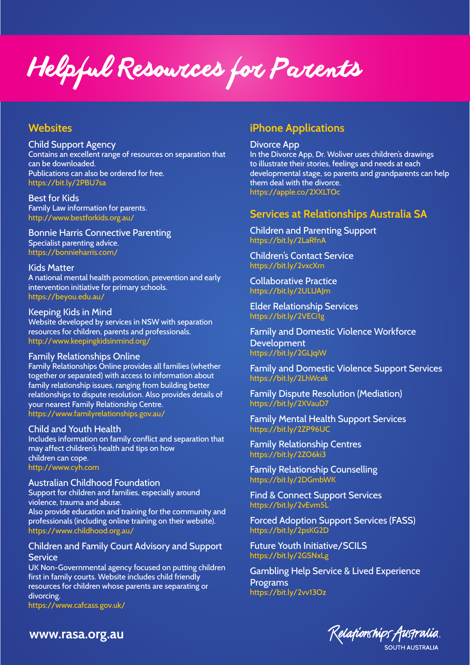Helpful Resources for Parents

## **Websites**

Child Support Agency Contains an excellent range of resources on separation that can be downloaded. Publications can also be ordered for free. https://bit.ly/2PBU7sa

Best for Kids Family Law information for parents. http://www.bestforkids.org.au/

Bonnie Harris Connective Parenting Specialist parenting advice. https://bonnieharris.com/

Kids Matter A national mental health promotion, prevention and early intervention initiative for primary schools. https://beyou.edu.au/

Keeping Kids in Mind Website developed by services in NSW with separation

resources for children, parents and professionals. http://www.keepingkidsinmind.org/

#### Family Relationships Online

Family Relationships Online provides all families (whether together or separated) with access to information about family relationship issues, ranging from building better relationships to dispute resolution. Also provides details of your nearest Family Relationship Centre. https://www.familyrelationships.gov.au/

Child and Youth Health

Includes information on family conflict and separation that may affect children's health and tips on how children can cope. http://www.cyh.com

Australian Childhood Foundation Support for children and families, especially around violence, trauma and abuse. Also provide education and training for the community and professionals (including online training on their website). https://www.childhood.org.au/

### Children and Family Court Advisory and Support **Service**

UK Non-Governmental agency focused on putting children first in family courts. Website includes child friendly resources for children whose parents are separating or divorcing.

https://www.cafcass.gov.uk/

# **iPhone Applications**

Divorce App

In the Divorce App, Dr. Woliver uses children's drawings to illustrate their stories, feelings and needs at each developmental stage, so parents and grandparents can help them deal with the divorce. https://apple.co/2XXLTOc

## **Services at Relationships Australia SA**

Children and Parenting Support https://bit.ly/2LaRfnA

Children's Contact Service https://bit.ly/2vxcXrn

Collaborative Practice https://bit.ly/2ULUAJm

Elder Relationship Services https://bit.ly/2VECi1g

Family and Domestic Violence Workforce **Development** https://bit.ly/2GLJqiW

Family and Domestic Violence Support Services https://bit.ly/2LhWcek

Family Dispute Resolution (Mediation) https://bit.ly/2XVauD7

Family Mental Health Support Services https://bit.ly/2ZP96UC

Family Relationship Centres https://bit.ly/2ZO6ki3

Family Relationship Counselling https://bit.ly/2DGmbWK

Find & Connect Support Services https://bit.ly/2vEvm5L

Forced Adoption Support Services (FASS) https://bit.ly/2psKG2D

Future Youth Initiative/SCILS https://bit.ly/2GSNxLg

Gambling Help Service & Lived Experience Programs https://bit.ly/2vv13Oz



**www.rasa.org.au**